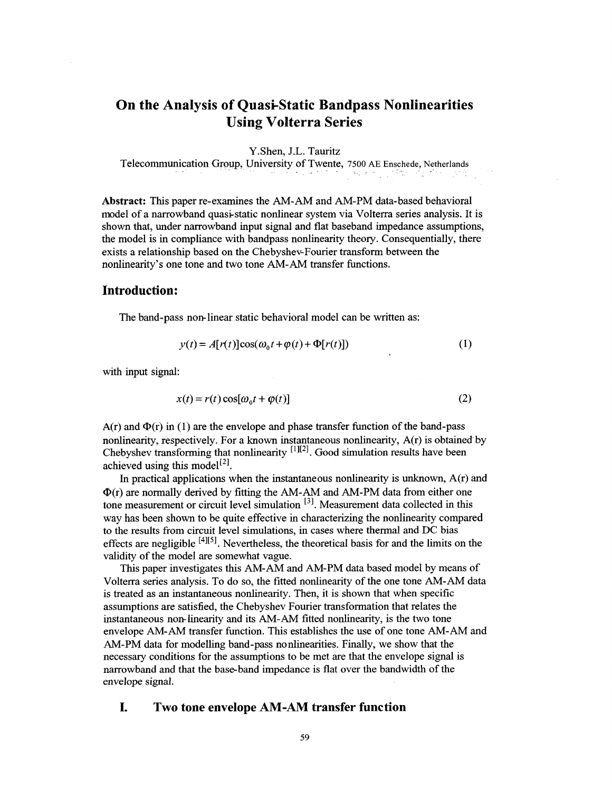# **On the Analysis of Quasi-Static Bandpass Nonlinearities Using Volterra Series**

Y.Shen, J.L. Tauritz

Telecommunication Group, University of Twente, 7500 AE Enschede, Netherlands N.

**Abstract:** This paper re-examines the AM-AM and AM-PM data-based behavioral model of a narrowband quasi-static nonlinear system via Volterra series analysis. It is shown that, under narrowband input signal and flat baseband impedance assumptions, the model is in compliance with bandpass nonlinearity theory. Consequentially, there exists a relationship based on the Chebyshev-Fourier transform between the nonlinearity's one tone and two tone AM-AM transfer functions.

#### **Introduction:**

The band-pass non-linear static behavioral model can be written as:

$$
y(t) = A[r(t)]\cos(\omega_0 t + \varphi(t) + \Phi[r(t)])
$$
 (1)

with input signal:

$$
x(t) = r(t)\cos[\omega_0 t + \varphi(t)]
$$
 (2)

 $A(r)$  and  $\Phi(r)$  in (1) are the envelope and phase transfer function of the band-pass nonlinearity, respectively. For a known instantaneous nonlinearity, A(r) is obtained by Chebyshev transforming that nonlinearity  $[1][2]$ . Good simulation results have been achieved using this model<sup>[2]</sup>.

 $\Phi(r)$  are normally derived by fitting the AM-AM and AM-PM data from either one tone measurement or circuit level simulation [31. Measurement data collected in this way has been shown to be quite effective in characterizing the nonlinearity compared to the results from circuit level simulations, in cases where thermal and DC bias effects are negligible  $[4][5]$ . Nevertheless, the theoretical basis for and the limits on the validity of the model are somewhat vague. In practical applications when the instantaneous nonlinearity is unknown,  $A(r)$  and

This paper investigates this AM-AM and AM-PM data based model by means of Volterra series analysis. To do so, the fitted nonlinearity of the one tone AM-AM data is treated as an instantaneous nonlinearity. Then, it is shown that when specific assumptions are satisfied, the Chebyshev Fourier transformation that relates the instantaneous non-linearity and its AM-AM fitted nonlinearity, is the two tone envelope AM-AM transfer function. This establishes the use of one tone AM-AM and AM-PM data for modelling band-pass nonlinearities. Finally, we show that the necessary conditions for the assumptions to be met are that the envelope signal is narrowband and that the baseband impedance is flat over the bandwidth of the envelope signal.

### **I. Two tone envelope** *AM-AM* **transfer function**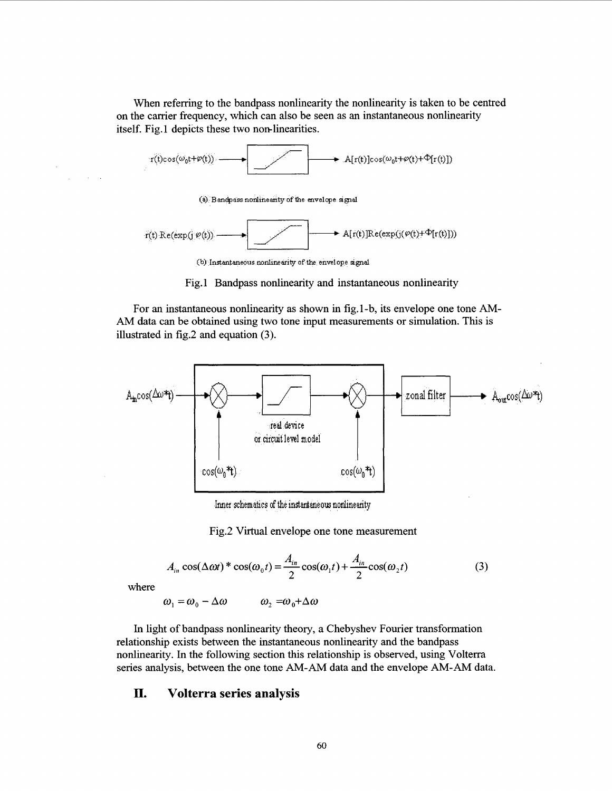When referring to the bandpass nonlinearity the nonlinearity is taken to be centred on the carrier frequency, which can also be seen as an instantaneous nonlinearity itself. Fig.1 depicts these two non-linearities.



 $(9)$  **Bandpass nonlinearity of the envelope signal** 



**<sup>(</sup>b) Instantaneous nonlinearity of the envelope** srgnal

Fig. 1 Bandpass nonlinearity and instantaneous nonlinearity

For an instantaneous nonlinearity as shown in fig.1-b, its envelope one tone AM-AM data can be obtained using two tone input measurements or simulation. This is illustrated in fig.2 and equation **(3).** 



Inner schematics of the instantaneous nonlinearity

Fig.2 Virtual envelope one tone measurement

$$
A_{in} \cos(\Delta \omega t)^* \cos(\omega_0 t) = \frac{A_{in}}{2} \cos(\omega_1 t) + \frac{A_{in}}{2} \cos(\omega_2 t)
$$
 (3)

where

$$
\omega_1 = \omega_0 - \Delta \omega \qquad \omega_2 = \omega_0 + \Delta \omega
$$

In light of bandpass nonlinearity theory, a Chebyshev Fourier transformation relationship exists between the instantaneous nonlinearity and the bandpass nonlinearity. In the following section this relationship is observed, using Volterra series analysis, between the one tone AM-AM data and the envelope AM-AM data.

#### **II. Volterra series analysis**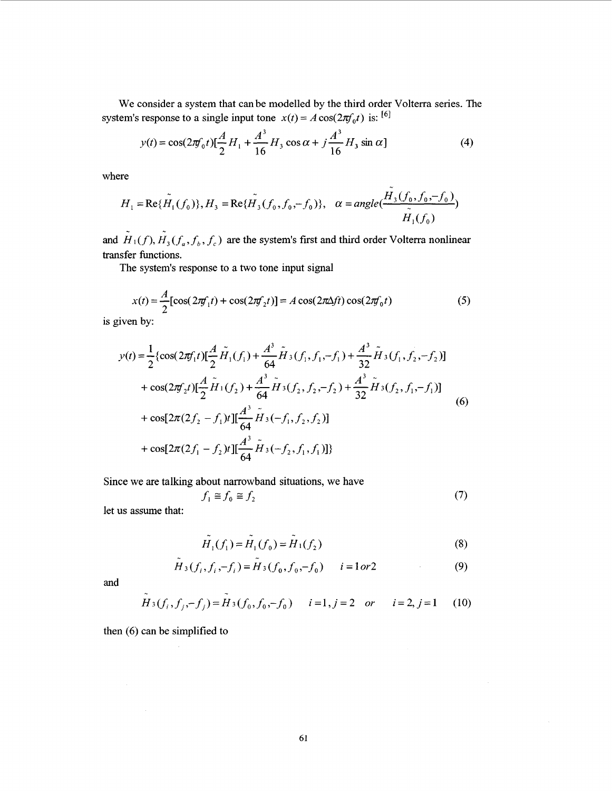We consider a system that can be modelled by the third order Volterra series. The system's response to a single input tone  $x(t) = A \cos(2\pi f_0 t)$  is: <sup>[6]</sup>

consider a system that can be modelled by the third order Volterra series. If  
response to a single input tone 
$$
x(t) = A \cos(2\pi f_0 t)
$$
 is: <sup>[6]</sup>  

$$
y(t) = \cos(2\pi f_0 t) \left[ \frac{A}{2} H_1 + \frac{A^3}{16} H_3 \cos \alpha + j \frac{A^3}{16} H_3 \sin \alpha \right]
$$
(4)

where

$$
H_1 = \text{Re}\{\tilde{H}_1(f_0)\}, H_3 = \text{Re}\{\tilde{H}_3(f_0, f_0, -f_0)\}, \quad \alpha = angle(\frac{\tilde{H}_3(f_0, f_0, -f_0)}{\tilde{H}_1(f_0)})
$$

and  $H_1(f), H_3(f_a, f_b, f_c)$  are the system's first and third order Volterra nonlinear transfer functions.

The system's response to a two tone input signal

$$
x(t) = \frac{A}{2} [\cos(2\pi f_1 t) + \cos(2\pi f_2 t)] = A \cos(2\pi \Delta f t) \cos(2\pi f_0 t)
$$
 (5)

is given by:

$$
y(t) = \frac{1}{2} \{ \cos(2\pi f_1 t) [\frac{A}{2} \tilde{H}_1(f_1) + \frac{A^3}{64} \tilde{H}_3(f_1, f_1, -f_1) + \frac{A^3}{32} \tilde{H}_3(f_1, f_2, -f_2)]
$$
  
+  $\cos(2\pi f_2 t) [\frac{A}{2} \tilde{H}_1(f_2) + \frac{A^3}{64} \tilde{H}_3(f_2, f_2, -f_2) + \frac{A^3}{32} \tilde{H}_3(f_2, f_1, -f_1)]$   
+  $\cos[2\pi (2f_2 - f_1)t] [\frac{A^3}{64} \tilde{H}_3(-f_1, f_2, f_2)]$   
+  $\cos[2\pi (2f_1 - f_2)t] [\frac{A^3}{64} \tilde{H}_3(-f_2, f_1, f_1)]$  (6)

Since we are talking about narrowband situations, we have

 $\overline{a}$ 

 $\sim$ 

$$
f_1 \cong f_0 \cong f_2 \tag{7}
$$

let us assume that:

$$
\tilde{H}_1(f_1) = \tilde{H}_1(f_0) = \tilde{H}_1(f_2)
$$
\n(8)

$$
\tilde{H}_3(f_i, f_i, -f_i) = \tilde{H}_3(f_0, f_0, -f_0) \qquad i = 1 or 2
$$
 (9)

and

$$
H_3(f_i, f_j, -f_j) = H_3(f_0, f_0, -f_0) \qquad i=1, j=2 \quad or \qquad i=2, j=1 \tag{10}
$$

then (6) can be simplified to

 $\mathcal{L}_{\rm{eff}}$ 

 $\sim$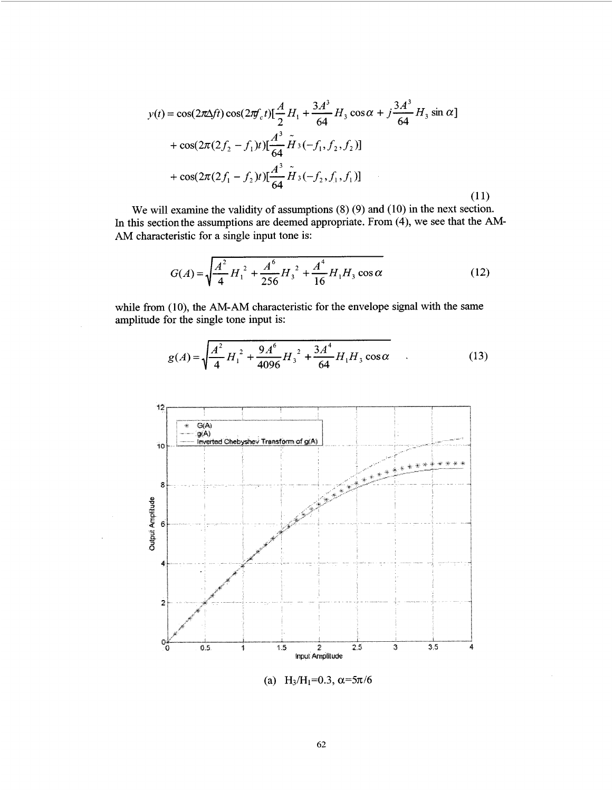$$
y(t) = \cos(2\pi\Delta ft)\cos(2\pi f_c t)\left[\frac{A}{2}H_1 + \frac{3A^3}{64}H_3\cos\alpha + j\frac{3A^3}{64}H_3\sin\alpha\right] + \cos(2\pi(2f_2 - f_1)t)\left[\frac{A^3}{64}\tilde{H}_3(-f_1, f_2, f_2)\right] + \cos(2\pi(2f_1 - f_2)t)\left[\frac{A^3}{64}\tilde{H}_3(-f_2, f_1, f_1)\right]
$$
(11)

We will examine the validity of assumptions **(8)** (9) and (10) in the next section. In this sectionthe assumptions are deemed appropriate. From (4), we see that the **AM-**AM characteristic for a single input tone is:

$$
G(A) = \sqrt{\frac{A^2}{4}H_1^2 + \frac{A^6}{256}H_3^2 + \frac{A^4}{16}H_1H_3\cos\alpha}
$$
 (12)

while from (10), the AM-AM characteristic for the envelope signal with the same amplitude for the single tone input is:

$$
g(A) = \sqrt{\frac{A^2}{4}H_1^2 + \frac{9A^6}{4096}H_3^2 + \frac{3A^4}{64}H_1H_3\cos\alpha}
$$
 (13)



(a) H<sub>3</sub>/H<sub>1</sub>=0.3,  $\alpha$ =5 $\pi$ /6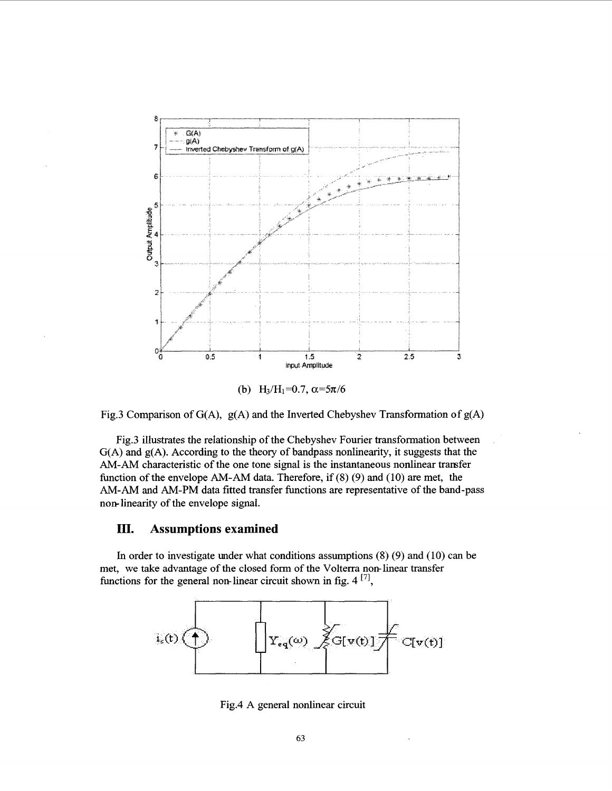

Fig.3 Comparison of G(A), g(A) and the Inverted Chebyshev Transformation of g(A)

Fig.3 illustrates the relationship of the Chebyshev Fourier transformation between G(A) and g(A). According to the theory of bandpass nonlinearity, it suggests that the AM-AM characteristic of the one tone signal is the instantaneous nonlinear transfer function of the envelope *AM-AM* **data.** Therefore, if **(8) (9)** and (10) are met, the AM-AM and AM-PM data fitted transfer functions are representative of the band-pass non-linearity of the envelope signal.

#### III. **Assumptions examined**

In order to investigate under what conditions assumptions **(8) (9)** and (10) can be met, we take advantage of the closed form of the Volterra non-linear transfer functions for the general non-linear circuit shown in fig.  $4^{[7]}$ ,



Fig.4 A general nonlinear circuit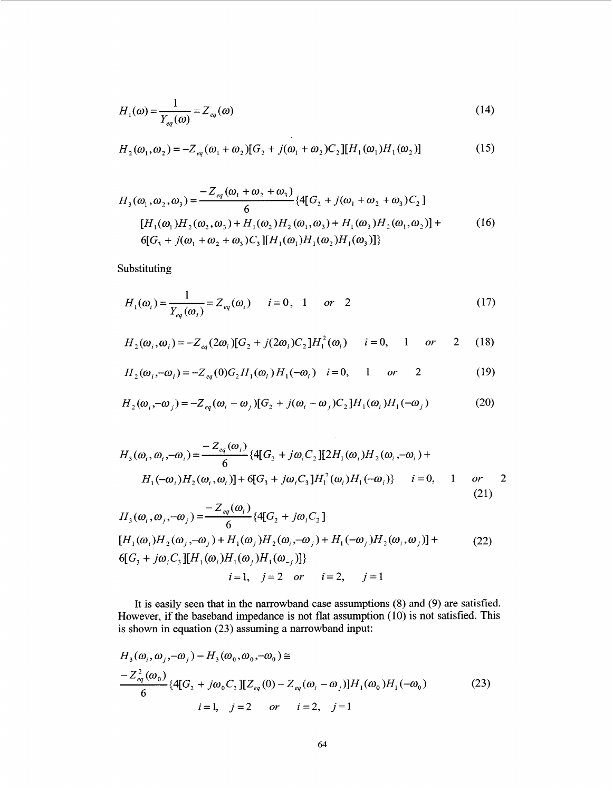$$
H_1(\omega) = \frac{1}{Y_{eq}(\omega)} = Z_{eq}(\omega)
$$
\n(14)

$$
H_2(\omega_1, \omega_2) = -Z_{eq}(\omega_1 + \omega_2)[G_2 + j(\omega_1 + \omega_2)C_2][H_1(\omega_1)H_1(\omega_2)]
$$
\n(15)

$$
H_3(\omega_1, \omega_2, \omega_3) = \frac{-Z_{eq}(\omega_1 + \omega_2 + \omega_3)}{6} \{4[G_2 + j(\omega_1 + \omega_2 + \omega_3)C_2] \}
$$
  
\n
$$
[H_1(\omega_1)H_2(\omega_2, \omega_3) + H_1(\omega_2)H_2(\omega_1, \omega_3) + H_1(\omega_3)H_2(\omega_1, \omega_2)] +
$$
  
\n
$$
6[G_3 + j(\omega_1 + \omega_2 + \omega_3)C_3][H_1(\omega_1)H_1(\omega_2)H_1(\omega_3)]\}
$$
\n(16)

Substituting

$$
H_1(\omega_i) = \frac{1}{Y_{eq}(\omega_i)} = Z_{eq}(\omega_i) \qquad i = 0, \quad 1 \qquad or \quad 2 \tag{17}
$$

$$
H_2(\omega_i, \omega_i) = -Z_{eq}(2\omega_i)[G_2 + j(2\omega_i)C_2]H_1^2(\omega_i) \qquad i = 0, \qquad 1 \qquad or \qquad 2 \qquad (18)
$$

$$
H_2(\omega_i, -\omega_i) = -Z_{eq}(0)G_2H_1(\omega_i)H_1(-\omega_i) \quad i=0, \quad 1 \quad or \quad 2 \tag{19}
$$

$$
H_2(\omega_i, -\omega_j) = -Z_{eq}(\omega_i - \omega_j)[G_2 + j(\omega_i - \omega_j)C_2]H_1(\omega_i)H_1(-\omega_j)
$$
 (20)

$$
H_3(\omega_i, \omega_i, -\omega_i) = \frac{-Z_{eq}(\omega_i)}{6} \{4[G_2 + j\omega_i C_2][2H_1(\omega_i)H_2(\omega_i, -\omega_i) + H_1(-\omega_i)H_2(\omega_i, \omega_i)] + 6[G_3 + j\omega_i C_3]H_1^2(\omega_i)H_1(-\omega_i) \} \qquad i = 0, \qquad 1 \qquad or \qquad (21)
$$

$$
H_3(\omega_i, \omega_j, -\omega_j) = \frac{-Z_{eq}(\omega_i)}{6} \{4[G_2 + j\omega_i C_2] \n[H_1(\omega_i)H_2(\omega_j, -\omega_j) + H_1(\omega_j)H_2(\omega_i, -\omega_j) + H_1(-\omega_j)H_2(\omega_i, \omega_j)] +
$$
\n
$$
6[G_3 + j\omega_i C_3][H_1(\omega_i)H_1(\omega_j)H_1(\omega_{-j})]\}
$$
\n
$$
i = 1, \quad j = 2 \quad or \quad i = 2, \quad j = 1
$$
\n(22)

It is easily seen that in the narrowband case assumptions  $(8)$  and  $(9)$  are satisfied. However, if the baseband impedance is not flat assumption  $(10)$  is not satisfied. This is shown in equation  $(23)$  assuming a narrowband input:

$$
H_3(\omega_i, \omega_j, -\omega_j) - H_3(\omega_0, \omega_0, -\omega_0) \cong
$$
  
\n
$$
\frac{-Z_{eq}^2(\omega_0)}{6} \{4[G_2 + j\omega_0 C_2][Z_{eq}(0) - Z_{eq}(\omega_i - \omega_j)]H_1(\omega_0)H_1(-\omega_0)
$$
  
\n $i = 1, j = 2 \text{ or } i = 2, j = 1$  (23)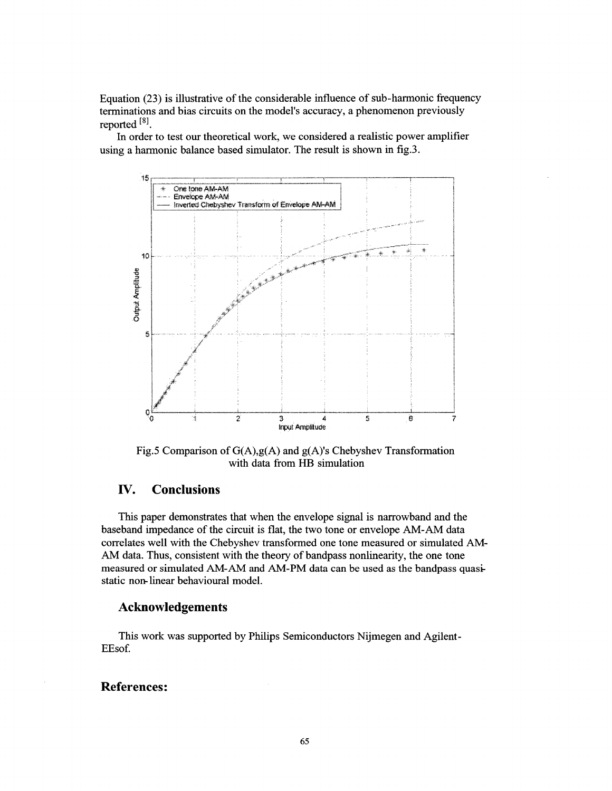Equation **(23)** is illustrative of the considerable influence of sub- harmonic frequency terminations and bias circuits on the model's accuracy, a phenomenon previously reported **18].** 

using a harmonic balance based simulator. The result is shown in **fig.3.**  In order to test our theoretical work, we considered a realistic power amplifier



Fig.5 Comparison of  $G(A), g(A)$  and  $g(A)$ 's Chebyshev Transformation with data from HB simulation

# **IV. Conclusions**

This paper demonstrates that when the envelope signal is narrowband and the baseband impedance of the circuit is flat, the two tone or envelope AM-AM data correlates well with the Chebyshev transformed one tone measured or simulated AM-AM data. Thus, consistent with the theory of bandpass nonlinearity, the one tone measured or simulated AM-AM and AM-PM **data** can be used as the bandpass quasistatic non-linear behavioural model.

#### **Acknowledgements**

This work was supported by Philips Semiconductors Nijmegen and Agilent - EEsof.

## **References:**